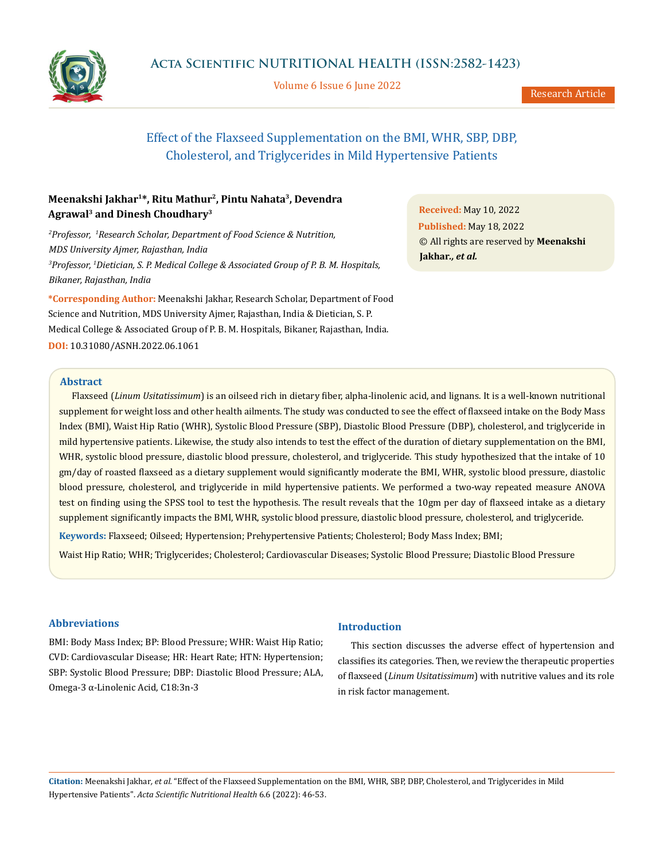

Volume 6 Issue 6 June 2022

Research Article

# Effect of the Flaxseed Supplementation on the BMI, WHR, SBP, DBP, Cholesterol, and Triglycerides in Mild Hypertensive Patients

# **Meenakshi Jakhar1\*, Ritu Mathur2, Pintu Nahata3, Devendra Agrawal3 and Dinesh Choudhary3**

*2 Professor, 1 Research Scholar, Department of Food Science & Nutrition, MDS University Ajmer, Rajasthan, India 3 Professor, 1 Dietician, S. P. Medical College & Associated Group of P. B. M. Hospitals, Bikaner, Rajasthan, India*

**\*Corresponding Author:** Meenakshi Jakhar, Research Scholar, Department of Food Science and Nutrition, MDS University Ajmer, Rajasthan, India & Dietician, S. P. Medical College & Associated Group of P. B. M. Hospitals, Bikaner, Rajasthan, India. **DOI:** [10.31080/ASNH.2022.06.1061](https://actascientific.com/ASNH/pdf/ASNH-06-1061.pdf)

**Received:** May 10, 2022 **Published:** May 18, 2022 © All rights are reserved by **Meenakshi Jakhar***., et al.*

# **Abstract**

Flaxseed (*Linum Usitatissimum*) is an oilseed rich in dietary fiber, alpha-linolenic acid, and lignans. It is a well-known nutritional supplement for weight loss and other health ailments. The study was conducted to see the effect of flaxseed intake on the Body Mass Index (BMI), Waist Hip Ratio (WHR), Systolic Blood Pressure (SBP), Diastolic Blood Pressure (DBP), cholesterol, and triglyceride in mild hypertensive patients. Likewise, the study also intends to test the effect of the duration of dietary supplementation on the BMI, WHR, systolic blood pressure, diastolic blood pressure, cholesterol, and triglyceride. This study hypothesized that the intake of 10 gm/day of roasted flaxseed as a dietary supplement would significantly moderate the BMI, WHR, systolic blood pressure, diastolic blood pressure, cholesterol, and triglyceride in mild hypertensive patients. We performed a two-way repeated measure ANOVA test on finding using the SPSS tool to test the hypothesis. The result reveals that the 10gm per day of flaxseed intake as a dietary supplement significantly impacts the BMI, WHR, systolic blood pressure, diastolic blood pressure, cholesterol, and triglyceride.

**Keywords:** Flaxseed; Oilseed; Hypertension; Prehypertensive Patients; Cholesterol; Body Mass Index; BMI;

Waist Hip Ratio; WHR; Triglycerides; Cholesterol; Cardiovascular Diseases; Systolic Blood Pressure; Diastolic Blood Pressure

# **Abbreviations**

BMI: Body Mass Index; BP: Blood Pressure; WHR: Waist Hip Ratio; CVD: Cardiovascular Disease; HR: Heart Rate; HTN: Hypertension; SBP: Systolic Blood Pressure; DBP: Diastolic Blood Pressure; ALA, Omega-3 α-Linolenic Acid, C18:3n-3

# **Introduction**

This section discusses the adverse effect of hypertension and classifies its categories. Then, we review the therapeutic properties of flaxseed (*Linum Usitatissimum*) with nutritive values and its role in risk factor management.

**Citation:** Meenakshi Jakhar*, et al.* "Effect of the Flaxseed Supplementation on the BMI, WHR, SBP, DBP, Cholesterol, and Triglycerides in Mild Hypertensive Patients". *Acta Scientific Nutritional Health* 6.6 (2022): 46-53.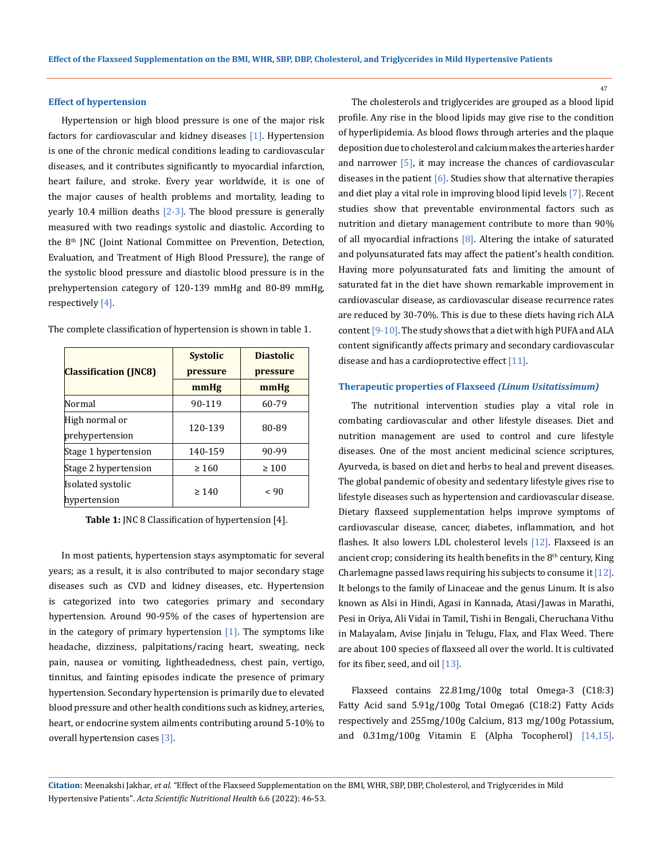#### **Effect of hypertension**

Hypertension or high blood pressure is one of the major risk factors for cardiovascular and kidney diseases [1]. Hypertension is one of the chronic medical conditions leading to cardiovascular diseases, and it contributes significantly to myocardial infarction, heart failure, and stroke. Every year worldwide, it is one of the major causes of health problems and mortality, leading to yearly 10.4 million deaths  $[2-3]$ . The blood pressure is generally measured with two readings systolic and diastolic. According to the 8<sup>th</sup> JNC (Joint National Committee on Prevention, Detection, Evaluation, and Treatment of High Blood Pressure), the range of the systolic blood pressure and diastolic blood pressure is in the prehypertension category of 120-139 mmHg and 80-89 mmHg, respectively [4].

| <b>Classification (JNC8)</b>      | <b>Systolic</b><br>pressure | <b>Diastolic</b><br>pressure |  |
|-----------------------------------|-----------------------------|------------------------------|--|
|                                   | mmHg                        | mmHg                         |  |
| Normal                            | 90-119                      | 60-79                        |  |
| High normal or<br>prehypertension | 120-139                     | 80-89                        |  |
| Stage 1 hypertension              | 140-159                     | 90-99                        |  |
| Stage 2 hypertension              | $\geq 160$                  | $\geq 100$                   |  |
| Isolated systolic<br>hypertension | $\geq 140$                  | ~< 90                        |  |

The complete classification of hypertension is shown in table 1.

**Table 1:** JNC 8 Classification of hypertension [4].

In most patients, hypertension stays asymptomatic for several years; as a result, it is also contributed to major secondary stage diseases such as CVD and kidney diseases, etc. Hypertension is categorized into two categories primary and secondary hypertension. Around 90-95% of the cases of hypertension are in the category of primary hypertension  $[1]$ . The symptoms like headache, dizziness, palpitations/racing heart, sweating, neck pain, nausea or vomiting, lightheadedness, chest pain, vertigo, tinnitus, and fainting episodes indicate the presence of primary hypertension. Secondary hypertension is primarily due to elevated blood pressure and other health conditions such as kidney, arteries, heart, or endocrine system ailments contributing around 5-10% to overall hypertension cases [3].

The cholesterols and triglycerides are grouped as a blood lipid profile. Any rise in the blood lipids may give rise to the condition of hyperlipidemia. As blood flows through arteries and the plaque deposition due to cholesterol and calcium makes the arteries harder and narrower [5], it may increase the chances of cardiovascular diseases in the patient  $[6]$ . Studies show that alternative therapies and diet play a vital role in improving blood lipid levels [7]. Recent studies show that preventable environmental factors such as nutrition and dietary management contribute to more than 90% of all myocardial infractions  $[8]$ . Altering the intake of saturated and polyunsaturated fats may affect the patient's health condition. Having more polyunsaturated fats and limiting the amount of saturated fat in the diet have shown remarkable improvement in cardiovascular disease, as cardiovascular disease recurrence rates are reduced by 30-70%. This is due to these diets having rich ALA content [9-10]. The study shows that a diet with high PUFA and ALA content significantly affects primary and secondary cardiovascular disease and has a cardioprotective effect  $[11]$ .

## **Therapeutic properties of Flaxseed** *(Linum Usitatissimum)*

The nutritional intervention studies play a vital role in combating cardiovascular and other lifestyle diseases. Diet and nutrition management are used to control and cure lifestyle diseases. One of the most ancient medicinal science scriptures, Ayurveda, is based on diet and herbs to heal and prevent diseases. The global pandemic of obesity and sedentary lifestyle gives rise to lifestyle diseases such as hypertension and cardiovascular disease. Dietary flaxseed supplementation helps improve symptoms of cardiovascular disease, cancer, diabetes, inflammation, and hot flashes. It also lowers LDL cholesterol levels [12]. Flaxseed is an ancient crop; considering its health benefits in the  $8<sup>th</sup>$  century, King Charlemagne passed laws requiring his subjects to consume it [12]. It belongs to the family of Linaceae and the genus Linum. It is also known as Alsi in Hindi, Agasi in Kannada, Atasi/Jawas in Marathi, Pesi in Oriya, Ali Vidai in Tamil, Tishi in Bengali, Cheruchana Vithu in Malayalam, Avise Jinjalu in Telugu, Flax, and Flax Weed. There are about 100 species of flaxseed all over the world. It is cultivated for its fiber, seed, and oil [13].

Flaxseed contains 22.81mg/100g total Omega-3 (C18:3) Fatty Acid sand 5.91g/100g Total Omega6 (C18:2) Fatty Acids respectively and 255mg/100g Calcium, 813 mg/100g Potassium, and 0.31mg/100g Vitamin E (Alpha Tocopherol) [14,15].

**Citation:** Meenakshi Jakhar*, et al.* "Effect of the Flaxseed Supplementation on the BMI, WHR, SBP, DBP, Cholesterol, and Triglycerides in Mild Hypertensive Patients". *Acta Scientific Nutritional Health* 6.6 (2022): 46-53.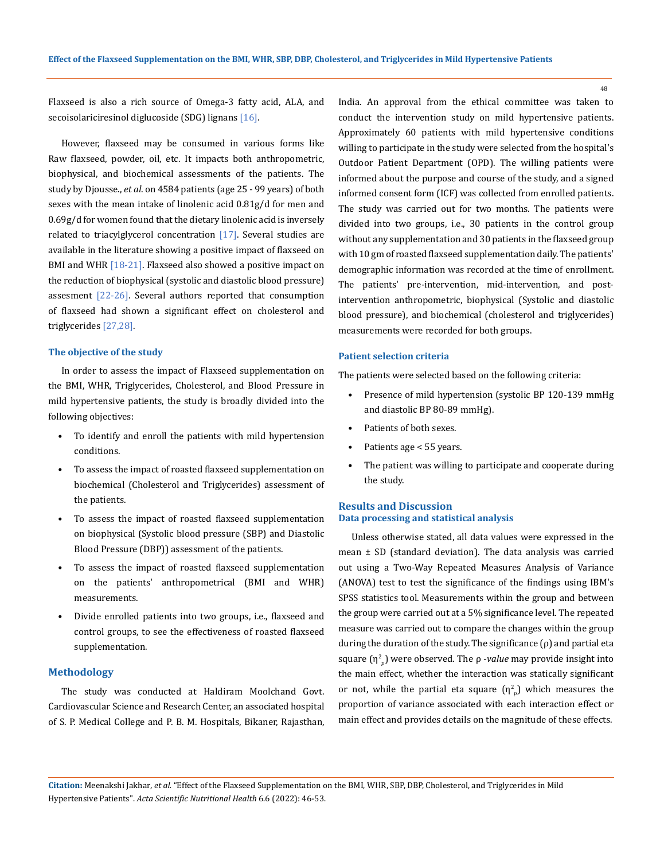48

Flaxseed is also a rich source of Omega-3 fatty acid, ALA, and secoisolariciresinol diglucoside (SDG) lignans [16].

However, flaxseed may be consumed in various forms like Raw flaxseed, powder, oil, etc. It impacts both anthropometric, biophysical, and biochemical assessments of the patients. The study by Djousse., *et al*. on 4584 patients (age 25 - 99 years) of both sexes with the mean intake of linolenic acid 0.81g/d for men and 0.69g/d for women found that the dietary linolenic acid is inversely related to triacylglycerol concentration [17]. Several studies are available in the literature showing a positive impact of flaxseed on BMI and WHR [18-21]. Flaxseed also showed a positive impact on the reduction of biophysical (systolic and diastolic blood pressure) assesment  $[22-26]$ . Several authors reported that consumption of flaxseed had shown a significant effect on cholesterol and triglycerides [27,28].

## **The objective of the study**

In order to assess the impact of Flaxseed supplementation on the BMI, WHR, Triglycerides, Cholesterol, and Blood Pressure in mild hypertensive patients, the study is broadly divided into the following objectives:

- To identify and enroll the patients with mild hypertension conditions.
- To assess the impact of roasted flaxseed supplementation on biochemical (Cholesterol and Triglycerides) assessment of the patients.
- To assess the impact of roasted flaxseed supplementation on biophysical (Systolic blood pressure (SBP) and Diastolic Blood Pressure (DBP)) assessment of the patients.
- To assess the impact of roasted flaxseed supplementation on the patients' anthropometrical (BMI and WHR) measurements.
- Divide enrolled patients into two groups, i.e., flaxseed and control groups, to see the effectiveness of roasted flaxseed supplementation.

# **Methodology**

The study was conducted at Haldiram Moolchand Govt. Cardiovascular Science and Research Center, an associated hospital of S. P. Medical College and P. B. M. Hospitals, Bikaner, Rajasthan, India. An approval from the ethical committee was taken to conduct the intervention study on mild hypertensive patients. Approximately 60 patients with mild hypertensive conditions willing to participate in the study were selected from the hospital's Outdoor Patient Department (OPD). The willing patients were informed about the purpose and course of the study, and a signed informed consent form (ICF) was collected from enrolled patients. The study was carried out for two months. The patients were divided into two groups, i.e., 30 patients in the control group without any supplementation and 30 patients in the flaxseed group with 10 gm of roasted flaxseed supplementation daily. The patients' demographic information was recorded at the time of enrollment. The patients' pre-intervention, mid-intervention, and postintervention anthropometric, biophysical (Systolic and diastolic blood pressure), and biochemical (cholesterol and triglycerides) measurements were recorded for both groups.

# **Patient selection criteria**

The patients were selected based on the following criteria:

- Presence of mild hypertension (systolic BP 120-139 mmHg and diastolic BP 80-89 mmHg).
- Patients of both sexes.
- Patients age < 55 years.
- The patient was willing to participate and cooperate during the study.

# **Results and Discussion Data processing and statistical analysis**

Unless otherwise stated, all data values were expressed in the mean ± SD (standard deviation). The data analysis was carried out using a Two-Way Repeated Measures Analysis of Variance (ANOVA) test to test the significance of the findings using IBM's SPSS statistics tool. Measurements within the group and between the group were carried out at a 5% significance level. The repeated measure was carried out to compare the changes within the group during the duration of the study. The significance (ρ) and partial eta square (η<sup>2</sup> ) were observed. The ρ -*value* may provide insight into the main effect, whether the interaction was statically significant or not, while the partial eta square  $(\eta^2_{\;\;p})$  which measures the proportion of variance associated with each interaction effect or main effect and provides details on the magnitude of these effects.

**Citation:** Meenakshi Jakhar*, et al.* "Effect of the Flaxseed Supplementation on the BMI, WHR, SBP, DBP, Cholesterol, and Triglycerides in Mild Hypertensive Patients". *Acta Scientific Nutritional Health* 6.6 (2022): 46-53.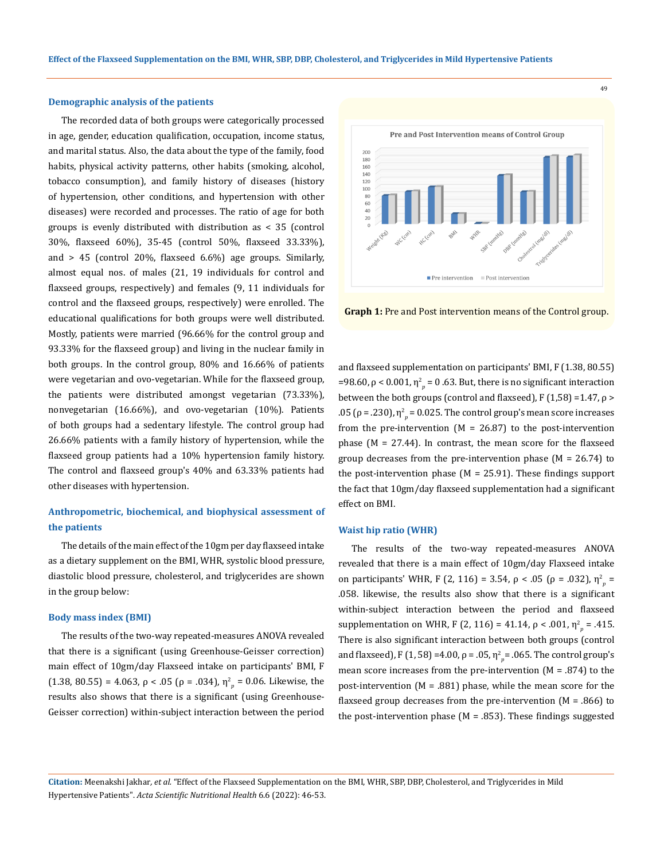#### **Demographic analysis of the patients**

The recorded data of both groups were categorically processed in age, gender, education qualification, occupation, income status, and marital status. Also, the data about the type of the family, food habits, physical activity patterns, other habits (smoking, alcohol, tobacco consumption), and family history of diseases (history of hypertension, other conditions, and hypertension with other diseases) were recorded and processes. The ratio of age for both groups is evenly distributed with distribution as < 35 (control 30%, flaxseed 60%), 35-45 (control 50%, flaxseed 33.33%), and > 45 (control 20%, flaxseed 6.6%) age groups. Similarly, almost equal nos. of males (21, 19 individuals for control and flaxseed groups, respectively) and females (9, 11 individuals for control and the flaxseed groups, respectively) were enrolled. The educational qualifications for both groups were well distributed. Mostly, patients were married (96.66% for the control group and 93.33% for the flaxseed group) and living in the nuclear family in both groups. In the control group, 80% and 16.66% of patients were vegetarian and ovo-vegetarian. While for the flaxseed group, the patients were distributed amongst vegetarian (73.33%), nonvegetarian (16.66%), and ovo-vegetarian (10%). Patients of both groups had a sedentary lifestyle. The control group had 26.66% patients with a family history of hypertension, while the flaxseed group patients had a 10% hypertension family history. The control and flaxseed group's 40% and 63.33% patients had other diseases with hypertension.

# **Anthropometric, biochemical, and biophysical assessment of the patients**

The details of the main effect of the 10gm per day flaxseed intake as a dietary supplement on the BMI, WHR, systolic blood pressure, diastolic blood pressure, cholesterol, and triglycerides are shown in the group below:

#### **Body mass index (BMI)**

The results of the two-way repeated-measures ANOVA revealed that there is a significant (using Greenhouse-Geisser correction) main effect of 10gm/day Flaxseed intake on participants' BMI, F (1.38, 80.55) = 4.063,  $\rho < .05$  ( $\rho = .034$ ),  $\eta^2_{p} = 0.06$ . Likewise, the results also shows that there is a significant (using Greenhouse-Geisser correction) within-subject interaction between the period



**Graph 1:** Pre and Post intervention means of the Control group.

and flaxseed supplementation on participants' BMI, F (1.38, 80.55) =98.60,  $\rho$  < 0.001,  $η<sup>2</sup><sub>p</sub>$  = 0 .63. But, there is no significant interaction between the both groups (control and flaxseed),  $F(1,58) = 1.47$ ,  $\rho$  > .05 (ρ = .230),  $η<sup>2</sup><sub>p</sub>$  = 0.025. The control group's mean score increases from the pre-intervention ( $M = 26.87$ ) to the post-intervention phase ( $M = 27.44$ ). In contrast, the mean score for the flaxseed group decreases from the pre-intervention phase  $(M = 26.74)$  to the post-intervention phase ( $M = 25.91$ ). These findings support the fact that 10gm/day flaxseed supplementation had a significant effect on BMI.

#### **Waist hip ratio (WHR)**

The results of the two-way repeated-measures ANOVA revealed that there is a main effect of 10gm/day Flaxseed intake on participants' WHR, F (2, 116) = 3.54, ρ < .05 (ρ = .032),  $η<sup>2</sup><sub>p</sub>$  = .058. likewise, the results also show that there is a significant within-subject interaction between the period and flaxseed supplementation on WHR, F (2, 116) = 41.14,  $\rho < .001$ ,  $\eta_p^2 = .415$ . There is also significant interaction between both groups (control and flaxseed), F (1, 58) =4.00,  $\rho$  = .05,  $\eta_{p}^{2}$  = .065. The control group's mean score increases from the pre-intervention  $(M = .874)$  to the post-intervention  $(M = .881)$  phase, while the mean score for the flaxseed group decreases from the pre-intervention  $(M = .866)$  to the post-intervention phase ( $M = .853$ ). These findings suggested

**Citation:** Meenakshi Jakhar*, et al.* "Effect of the Flaxseed Supplementation on the BMI, WHR, SBP, DBP, Cholesterol, and Triglycerides in Mild Hypertensive Patients". *Acta Scientific Nutritional Health* 6.6 (2022): 46-53.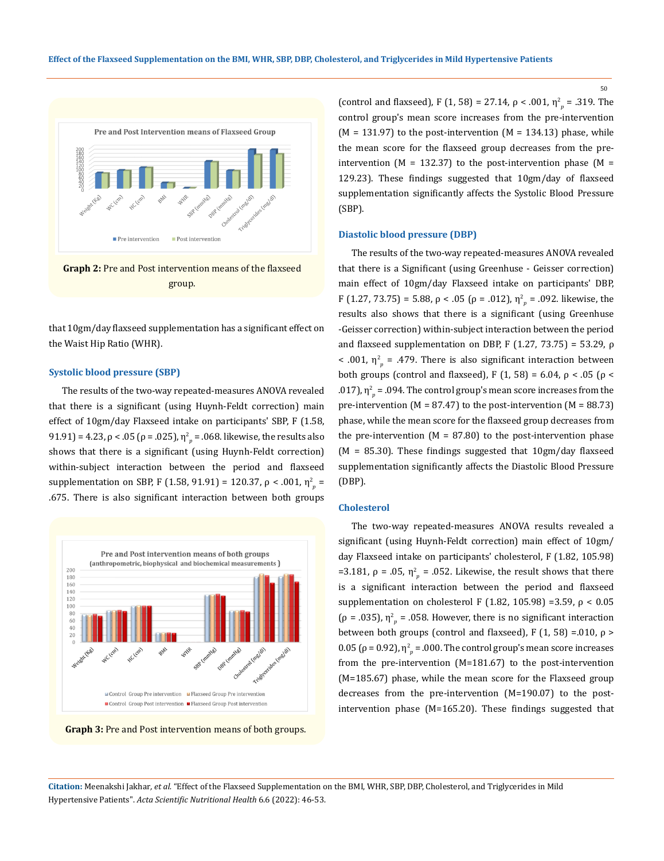

that 10gm/day flaxseed supplementation has a significant effect on the Waist Hip Ratio (WHR).

#### **Systolic blood pressure (SBP)**

The results of the two-way repeated-measures ANOVA revealed that there is a significant (using Huynh-Feldt correction) main effect of 10gm/day Flaxseed intake on participants' SBP, F (1.58, 91.91) = 4.23, ρ < .05 (ρ = .025),  $η<sup>2</sup><sub>p</sub>$  = .068. likewise, the results also shows that there is a significant (using Huynh-Feldt correction) within-subject interaction between the period and flaxseed supplementation on SBP, F (1.58, 91.91) = 120.37, ρ < .001, η<sup>2</sup><sub>ρ</sub> = .675. There is also significant interaction between both groups



**Graph 3:** Pre and Post intervention means of both groups.

(control and flaxseed), F (1, 58) = 27.14,  $\rho < .001$ ,  $\eta_p^2 = .319$ . The control group's mean score increases from the pre-intervention  $(M = 131.97)$  to the post-intervention  $(M = 134.13)$  phase, while the mean score for the flaxseed group decreases from the preintervention ( $M = 132.37$ ) to the post-intervention phase ( $M =$ 129.23). These findings suggested that 10gm/day of flaxseed supplementation significantly affects the Systolic Blood Pressure (SBP).

## **Diastolic blood pressure (DBP)**

The results of the two-way repeated-measures ANOVA revealed that there is a Significant (using Greenhuse - Geisser correction) main effect of 10gm/day Flaxseed intake on participants' DBP, F (1.27, 73.75) = 5.88,  $\rho < .05$  ( $\rho = .012$ ),  $\eta_p^2 = .092$ . likewise, the results also shows that there is a significant (using Greenhuse -Geisser correction) within-subject interaction between the period and flaxseed supplementation on DBP, F  $(1.27, 73.75) = 53.29$ , ρ < .001,  $\eta_{p}^{2}$  = .479. There is also significant interaction between both groups (control and flaxseed), F (1, 58) = 6.04,  $\rho$  < .05 ( $\rho$  < .017),  $\eta_{p}^{2}$  = .094. The control group's mean score increases from the pre-intervention ( $M = 87.47$ ) to the post-intervention ( $M = 88.73$ ) phase, while the mean score for the flaxseed group decreases from the pre-intervention  $(M = 87.80)$  to the post-intervention phase  $(M = 85.30)$ . These findings suggested that 10gm/day flaxseed supplementation significantly affects the Diastolic Blood Pressure (DBP).

### **Cholesterol**

The two-way repeated-measures ANOVA results revealed a significant (using Huynh-Feldt correction) main effect of 10gm/ day Flaxseed intake on participants' cholesterol, F (1.82, 105.98) =3.181,  $\rho$  = .05,  $η<sup>2</sup><sub>p</sub>$  = .052. Likewise, the result shows that there is a significant interaction between the period and flaxseed supplementation on cholesterol F (1.82, 105.98) =3.59,  $\rho < 0.05$ ( $\rho$  = .035),  $\eta^2_{\nu}$  = .058. However, there is no significant interaction between both groups (control and flaxseed), F (1, 58) =.010, ρ > 0.05 (ρ = 0.92), η $^2$  = .000. The control group's mean score increases from the pre-intervention (M=181.67) to the post-intervention (M=185.67) phase, while the mean score for the Flaxseed group decreases from the pre-intervention (M=190.07) to the postintervention phase (M=165.20). These findings suggested that

**Citation:** Meenakshi Jakhar*, et al.* "Effect of the Flaxseed Supplementation on the BMI, WHR, SBP, DBP, Cholesterol, and Triglycerides in Mild Hypertensive Patients". *Acta Scientific Nutritional Health* 6.6 (2022): 46-53.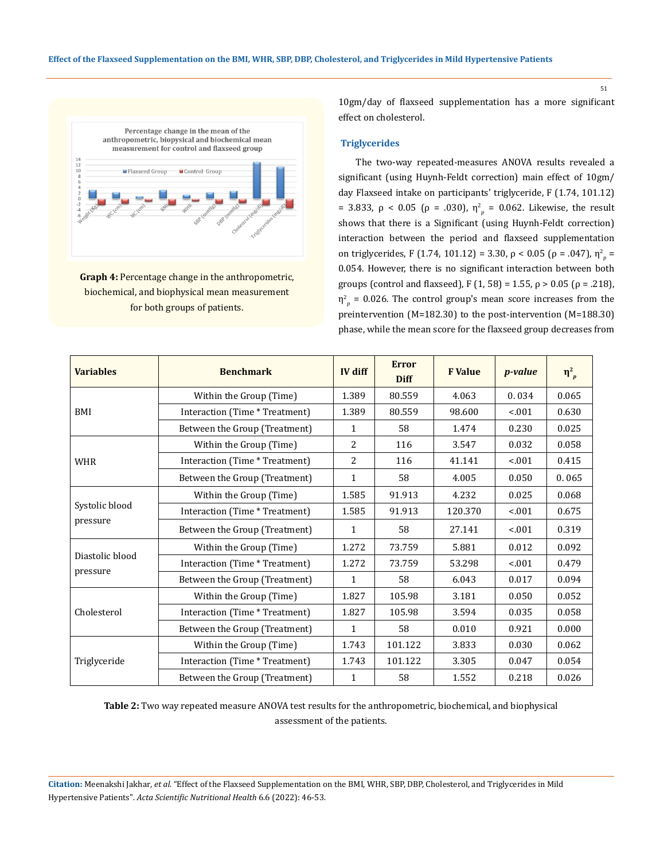

**Graph 4:** Percentage change in the anthropometric, biochemical, and biophysical mean measurement for both groups of patients.

10gm/day of flaxseed supplementation has a more significant effect on cholesterol.

### **Triglycerides**

 The two-way repeated-measures ANOVA results revealed a significant (using Huynh-Feldt correction) main effect of 10gm/ day Flaxseed intake on participants' triglyceride, F (1.74, 101.12) = 3.833, ρ < 0.05 (ρ = .030),  $η<sup>2</sup><sub>p</sub>$  = 0.062. Likewise, the result shows that there is a Significant (using Huynh-Feldt correction) interaction between the period and flaxseed supplementation on triglycerides, F (1.74, 101.12) = 3.30, ρ < 0.05 (ρ = .047), η $^2$ <sub>p</sub> = 0.054. However, there is no significant interaction between both groups (control and flaxseed), F (1, 58) = 1.55, ρ > 0.05 (ρ = .218),  $\eta_{p}^2$  = 0.026. The control group's mean score increases from the preintervention (M=182.30) to the post-intervention (M=188.30) phase, while the mean score for the flaxseed group decreases from

| <b>Variables</b>            | <b>Benchmark</b>               | IV diff      | <b>Error</b><br><b>Diff</b> | <b>F</b> Value | <i>p</i> -value | $\eta_{p}^{2}$ |
|-----------------------------|--------------------------------|--------------|-----------------------------|----------------|-----------------|----------------|
| BMI                         | Within the Group (Time)        | 1.389        | 80.559                      | 4.063          | 0.034           | 0.065          |
|                             | Interaction (Time * Treatment) | 1.389        | 80.559                      | 98.600         | < .001          | 0.630          |
|                             | Between the Group (Treatment)  | 1            | 58                          | 1.474          | 0.230           | 0.025          |
| <b>WHR</b>                  | Within the Group (Time)        | 2            | 116                         | 3.547          | 0.032           | 0.058          |
|                             | Interaction (Time * Treatment) | 2            | 116                         | 41.141         | $-.001$         | 0.415          |
|                             | Between the Group (Treatment)  | 1            | 58                          | 4.005          | 0.050           | 0.065          |
| Systolic blood<br>pressure  | Within the Group (Time)        | 1.585        | 91.913                      | 4.232          | 0.025           | 0.068          |
|                             | Interaction (Time * Treatment) | 1.585        | 91.913                      | 120.370        | < 0.01          | 0.675          |
|                             | Between the Group (Treatment)  | $\mathbf{1}$ | 58                          | 27.141         | < 0.01          | 0.319          |
| Diastolic blood<br>pressure | Within the Group (Time)        | 1.272        | 73.759                      | 5.881          | 0.012           | 0.092          |
|                             | Interaction (Time * Treatment) | 1.272        | 73.759                      | 53.298         | < 0.01          | 0.479          |
|                             | Between the Group (Treatment)  | $\mathbf{1}$ | 58                          | 6.043          | 0.017           | 0.094          |
| Cholesterol                 | Within the Group (Time)        | 1.827        | 105.98                      | 3.181          | 0.050           | 0.052          |
|                             | Interaction (Time * Treatment) | 1.827        | 105.98                      | 3.594          | 0.035           | 0.058          |
|                             | Between the Group (Treatment)  | $\mathbf{1}$ | 58                          | 0.010          | 0.921           | 0.000          |
| Triglyceride                | Within the Group (Time)        | 1.743        | 101.122                     | 3.833          | 0.030           | 0.062          |
|                             | Interaction (Time * Treatment) | 1.743        | 101.122                     | 3.305          | 0.047           | 0.054          |
|                             | Between the Group (Treatment)  | $\mathbf{1}$ | 58                          | 1.552          | 0.218           | 0.026          |

**Table 2:** Two way repeated measure ANOVA test results for the anthropometric, biochemical, and biophysical assessment of the patients.

**Citation:** Meenakshi Jakhar*, et al.* "Effect of the Flaxseed Supplementation on the BMI, WHR, SBP, DBP, Cholesterol, and Triglycerides in Mild Hypertensive Patients". *Acta Scientific Nutritional Health* 6.6 (2022): 46-53.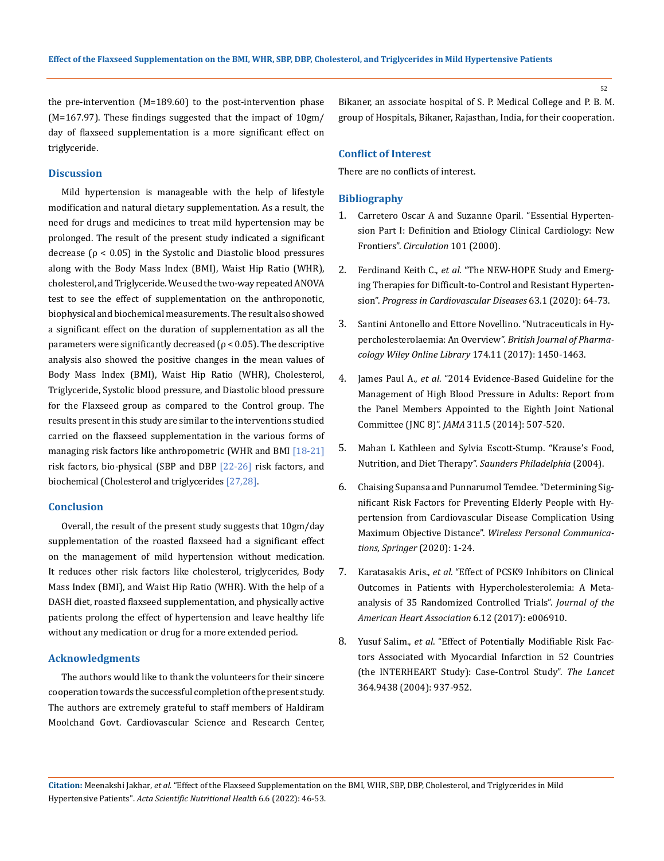the pre-intervention (M=189.60) to the post-intervention phase (M=167.97). These findings suggested that the impact of 10gm/ day of flaxseed supplementation is a more significant effect on triglyceride.

# **Discussion**

Mild hypertension is manageable with the help of lifestyle modification and natural dietary supplementation. As a result, the need for drugs and medicines to treat mild hypertension may be prolonged. The result of the present study indicated a significant decrease  $(p < 0.05)$  in the Systolic and Diastolic blood pressures along with the Body Mass Index (BMI), Waist Hip Ratio (WHR), cholesterol, and Triglyceride. We used the two-way repeated ANOVA test to see the effect of supplementation on the anthroponotic, biophysical and biochemical measurements. The result also showed a significant effect on the duration of supplementation as all the parameters were significantly decreased ( $\rho$  < 0.05). The descriptive analysis also showed the positive changes in the mean values of Body Mass Index (BMI), Waist Hip Ratio (WHR), Cholesterol, Triglyceride, Systolic blood pressure, and Diastolic blood pressure for the Flaxseed group as compared to the Control group. The results present in this study are similar to the interventions studied carried on the flaxseed supplementation in the various forms of managing risk factors like anthropometric (WHR and BMI [18-21] risk factors, bio-physical (SBP and DBP [22-26] risk factors, and biochemical (Cholesterol and triglycerides [27,28].

# **Conclusion**

Overall, the result of the present study suggests that 10gm/day supplementation of the roasted flaxseed had a significant effect on the management of mild hypertension without medication. It reduces other risk factors like cholesterol, triglycerides, Body Mass Index (BMI), and Waist Hip Ratio (WHR). With the help of a DASH diet, roasted flaxseed supplementation, and physically active patients prolong the effect of hypertension and leave healthy life without any medication or drug for a more extended period.

# **Acknowledgments**

The authors would like to thank the volunteers for their sincere cooperation towards the successful completion of the present study. The authors are extremely grateful to staff members of Haldiram Moolchand Govt. Cardiovascular Science and Research Center, Bikaner, an associate hospital of S. P. Medical College and P. B. M. group of Hospitals, Bikaner, Rajasthan, India, for their cooperation.

## **Conflict of Interest**

There are no conflicts of interest.

## **Bibliography**

- 1. [Carretero Oscar A and Suzanne Oparil. "Essential Hyperten](https://pubmed.ncbi.nlm.nih.gov/10645931/)[sion Part I: Definition and Etiology Clinical Cardiology: New](https://pubmed.ncbi.nlm.nih.gov/10645931/)  Frontiers". *[Circulation](https://pubmed.ncbi.nlm.nih.gov/10645931/)* 101 (2000).
- 2. Ferdinand Keith C., *et al.* ["The NEW-HOPE Study and Emerg](https://pubmed.ncbi.nlm.nih.gov/31923435/)[ing Therapies for Difficult-to-Control and Resistant Hyperten](https://pubmed.ncbi.nlm.nih.gov/31923435/)sion". *[Progress in Cardiovascular](https://pubmed.ncbi.nlm.nih.gov/31923435/) Diseases* 63.1 (2020): 64-73.
- 3. [Santini Antonello and Ettore Novellino. "Nutraceuticals in Hy](https://pubmed.ncbi.nlm.nih.gov/27685833/)[percholesterolaemia: An Overview".](https://pubmed.ncbi.nlm.nih.gov/27685833/) *British Journal of Pharma[cology Wiley Online Library](https://pubmed.ncbi.nlm.nih.gov/27685833/)* 174.11 (2017): 1450-1463.
- 4. James Paul A., *et al*[. "2014 Evidence-Based Guideline for the](https://pubmed.ncbi.nlm.nih.gov/24352797/)  [Management of High Blood Pressure in Adults: Report from](https://pubmed.ncbi.nlm.nih.gov/24352797/)  [the Panel Members Appointed to the Eighth Joint National](https://pubmed.ncbi.nlm.nih.gov/24352797/)  Committee (JNC 8)". *JAMA* [311.5 \(2014\): 507-520.](https://pubmed.ncbi.nlm.nih.gov/24352797/)
- 5. [Mahan L Kathleen and Sylvia Escott-Stump. "Krause's Food,](https://www.elsevier.com/books/krause-and-mahans-food-and-the-nutrition-care-process/raymond/978-0-323-63655-1)  [Nutrition, and Diet Therapy".](https://www.elsevier.com/books/krause-and-mahans-food-and-the-nutrition-care-process/raymond/978-0-323-63655-1) *Saunders Philadelphia* (2004).
- 6. [Chaising Supansa and Punnarumol Temdee. "Determining Sig](https://link.springer.com/article/10.1007/s11277-020-07195-4)[nificant Risk Factors for Preventing Elderly People with Hy](https://link.springer.com/article/10.1007/s11277-020-07195-4)[pertension from Cardiovascular Disease Complication Using](https://link.springer.com/article/10.1007/s11277-020-07195-4)  Maximum Objective Distance". *[Wireless Personal Communica](https://link.springer.com/article/10.1007/s11277-020-07195-4)[tions, Springer](https://link.springer.com/article/10.1007/s11277-020-07195-4)* (2020): 1-24.
- 7. Karatasakis Aris., *et al*[. "Effect of PCSK9 Inhibitors on Clinical](https://pubmed.ncbi.nlm.nih.gov/29223954/)  [Outcomes in Patients with Hypercholesterolemia: A Meta‐](https://pubmed.ncbi.nlm.nih.gov/29223954/) [analysis of 35 Randomized Controlled Trials".](https://pubmed.ncbi.nlm.nih.gov/29223954/) *Journal of the [American Heart Association](https://pubmed.ncbi.nlm.nih.gov/29223954/)* 6.12 (2017): e006910.
- 8. Yusuf Salim., *et al*[. "Effect of Potentially Modifiable Risk Fac](https://pubmed.ncbi.nlm.nih.gov/15364185/)[tors Associated with Myocardial Infarction in 52 Countries](https://pubmed.ncbi.nlm.nih.gov/15364185/)  [\(the INTERHEART Study\): Case-Control Study".](https://pubmed.ncbi.nlm.nih.gov/15364185/) *The Lancet* [364.9438 \(2004\): 937-952.](https://pubmed.ncbi.nlm.nih.gov/15364185/)

**Citation:** Meenakshi Jakhar*, et al.* "Effect of the Flaxseed Supplementation on the BMI, WHR, SBP, DBP, Cholesterol, and Triglycerides in Mild Hypertensive Patients". *Acta Scientific Nutritional Health* 6.6 (2022): 46-53.